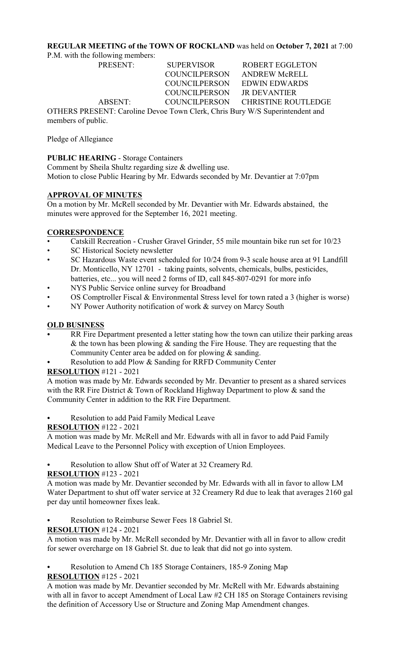### **REGULAR MEETING of the TOWN OF ROCKLAND** was held on **October 7, 2021** at 7:00

P.M. with the following members:

PRESENT: SUPERVISOR ROBERT EGGLETON COUNCILPERSON JR DEVANTIER

 COUNCILPERSON ANDREW McRELL COUNCILPERSON EDWIN EDWARDS ABSENT: COUNCILPERSON CHRISTINE ROUTLEDGE

OTHERS PRESENT: Caroline Devoe Town Clerk, Chris Bury W/S Superintendent and members of public.

Pledge of Allegiance

# **PUBLIC HEARING** - Storage Containers

Comment by Sheila Shultz regarding size & dwelling use. Motion to close Public Hearing by Mr. Edwards seconded by Mr. Devantier at 7:07pm

# **APPROVAL OF MINUTES**

On a motion by Mr. McRell seconded by Mr. Devantier with Mr. Edwards abstained, the minutes were approved for the September 16, 2021 meeting.

# **CORRESPONDENCE**

- Catskill Recreation Crusher Gravel Grinder, 55 mile mountain bike run set for 10/23
- SC Historical Society newsletter
- SC Hazardous Waste event scheduled for 10/24 from 9-3 scale house area at 91 Landfill Dr. Monticello, NY 12701 - taking paints, solvents, chemicals, bulbs, pesticides, batteries, etc... you will need 2 forms of ID, call 845-807-0291 for more info
- NYS Public Service online survey for Broadband
- OS Comptroller Fiscal & Environmental Stress level for town rated a 3 (higher is worse)
- NY Power Authority notification of work & survey on Marcy South

# **OLD BUSINESS**

- RR Fire Department presented a letter stating how the town can utilize their parking areas & the town has been plowing  $\&$  sanding the Fire House. They are requesting that the Community Center area be added on for plowing & sanding.
- Resolution to add Plow & Sanding for RRFD Community Center

# **RESOLUTION** #121 - 2021

A motion was made by Mr. Edwards seconded by Mr. Devantier to present as a shared services with the RR Fire District & Town of Rockland Highway Department to plow & sand the Community Center in addition to the RR Fire Department.

Resolution to add Paid Family Medical Leave

# **RESOLUTION** #122 - 2021

A motion was made by Mr. McRell and Mr. Edwards with all in favor to add Paid Family Medical Leave to the Personnel Policy with exception of Union Employees.

Resolution to allow Shut off of Water at 32 Creamery Rd.

# **RESOLUTION** #123 - 2021

A motion was made by Mr. Devantier seconded by Mr. Edwards with all in favor to allow LM Water Department to shut off water service at 32 Creamery Rd due to leak that averages 2160 gal per day until homeowner fixes leak.

Resolution to Reimburse Sewer Fees 18 Gabriel St.

### **RESOLUTION** #124 - 2021

A motion was made by Mr. McRell seconded by Mr. Devantier with all in favor to allow credit for sewer overcharge on 18 Gabriel St. due to leak that did not go into system.

Resolution to Amend Ch 185 Storage Containers, 185-9 Zoning Map **RESOLUTION** #125 - 2021

A motion was made by Mr. Devantier seconded by Mr. McRell with Mr. Edwards abstaining with all in favor to accept Amendment of Local Law #2 CH 185 on Storage Containers revising the definition of Accessory Use or Structure and Zoning Map Amendment changes.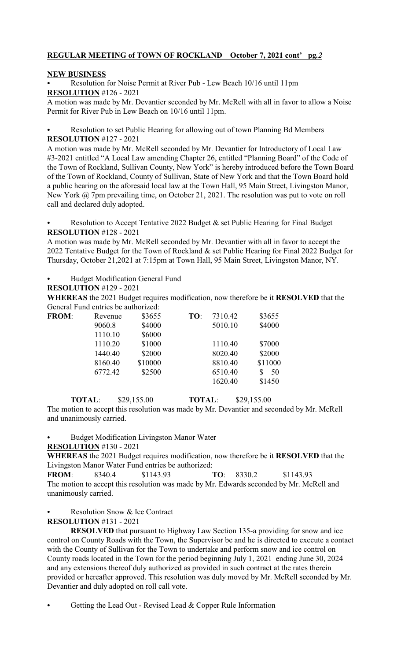### **REGULAR MEETING of TOWN OF ROCKLAND October 7, 2021 cont' pg***.2*

### **NEW BUSINESS**

Resolution for Noise Permit at River Pub - Lew Beach 10/16 until 11pm **RESOLUTION** #126 - 2021

A motion was made by Mr. Devantier seconded by Mr. McRell with all in favor to allow a Noise Permit for River Pub in Lew Beach on 10/16 until 11pm.

Resolution to set Public Hearing for allowing out of town Planning Bd Members **RESOLUTION** #127 - 2021

A motion was made by Mr. McRell seconded by Mr. Devantier for Introductory of Local Law #3-2021 entitled "A Local Law amending Chapter 26, entitled "Planning Board" of the Code of the Town of Rockland, Sullivan County, New York" is hereby introduced before the Town Board of the Town of Rockland, County of Sullivan, State of New York and that the Town Board hold a public hearing on the aforesaid local law at the Town Hall, 95 Main Street, Livingston Manor, New York @ 7pm prevailing time, on October 21, 2021. The resolution was put to vote on roll call and declared duly adopted.

Resolution to Accept Tentative 2022 Budget  $\&$  set Public Hearing for Final Budget **RESOLUTION** #128 - 2021

A motion was made by Mr. McRell seconded by Mr. Devantier with all in favor to accept the 2022 Tentative Budget for the Town of Rockland & set Public Hearing for Final 2022 Budget for Thursday, October 21,2021 at 7:15pm at Town Hall, 95 Main Street, Livingston Manor, NY.

Budget Modification General Fund

# **RESOLUTION** #129 - 2021

**WHEREAS** the 2021 Budget requires modification, now therefore be it **RESOLVED** that the General Fund entries be authorized:

| <b>FROM:</b> | Revenue | \$3655  | TO: | 7310.42 | \$3655  |
|--------------|---------|---------|-----|---------|---------|
|              | 9060.8  | \$4000  |     | 5010.10 | \$4000  |
|              | 1110.10 | \$6000  |     |         |         |
|              | 1110.20 | \$1000  |     | 1110.40 | \$7000  |
|              | 1440.40 | \$2000  |     | 8020.40 | \$2000  |
|              | 8160.40 | \$10000 |     | 8810.40 | \$11000 |
|              | 6772.42 | \$2500  |     | 6510.40 | 50      |
|              |         |         |     | 1620.40 | \$1450  |

**TOTAL:** \$29,155.00 **TOTAL:** \$29,155.00 The motion to accept this resolution was made by Mr. Devantier and seconded by Mr. McRell and unanimously carried.

Budget Modification Livingston Manor Water

**RESOLUTION** #130 - 2021

**WHEREAS** the 2021 Budget requires modification, now therefore be it **RESOLVED** that the Livingston Manor Water Fund entries be authorized: **FROM**: 8340.4 \$1143.93 **TO**: 8330.2 \$1143.93

The motion to accept this resolution was made by Mr. Edwards seconded by Mr. McRell and unanimously carried.

Resolution Snow & Ice Contract

**RESOLUTION** #131 - 2021

**RESOLVED** that pursuant to Highway Law Section 135-a providing for snow and ice control on County Roads with the Town, the Supervisor be and he is directed to execute a contact with the County of Sullivan for the Town to undertake and perform snow and ice control on County roads located in the Town for the period beginning July 1, 2021 ending June 30, 2024 and any extensions thereof duly authorized as provided in such contract at the rates therein provided or hereafter approved. This resolution was duly moved by Mr. McRell seconded by Mr. Devantier and duly adopted on roll call vote.

Getting the Lead Out - Revised Lead  $&$  Copper Rule Information